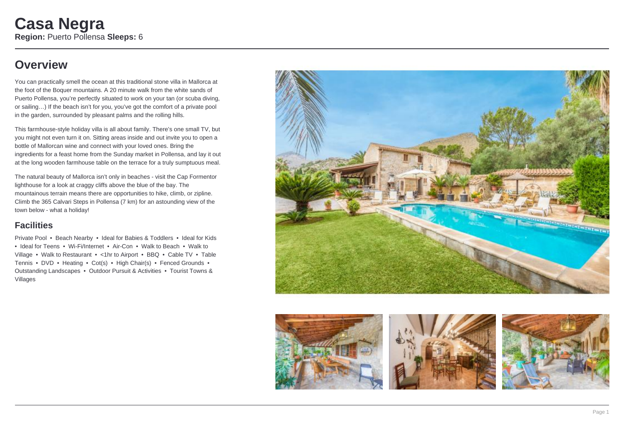### **Overview**

You can practically smell the ocean at this traditional stone villa in Mallorca at the foot of the Boquer mountains. A 20 minute walk from the white sands of Puerto Pollensa, you're perfectly situated to work on your tan (or scuba diving, or sailing…) If the beach isn't for you, you've got the comfort of a private pool in the garden, surrounded by pleasant palms and the rolling hills.

This farmhouse-style holiday villa is all about family. There's one small TV, but you might not even turn it on. Sitting areas inside and out invite you to open a bottle of Mallorcan wine and connect with your loved ones. Bring the ingredients for a feast home from the Sunday market in Pollensa, and lay it out at the long wooden farmhouse table on the terrace for a truly sumptuous meal.

The natural beauty of Mallorca isn't only in beaches - visit the Cap Formentor lighthouse for a look at craggy cliffs above the blue of the bay. The mountainous terrain means there are opportunities to hike, climb, or zipline. Climb the 365 Calvari Steps in Pollensa (7 km) for an astounding view of the town below - what a holiday!

### **Facilities**

Private Pool • Beach Nearby • Ideal for Babies & Toddlers • Ideal for Kids • Ideal for Teens • Wi-Fi/Internet • Air-Con • Walk to Beach • Walk to Village • Walk to Restaurant • <1hr to Airport • BBQ • Cable TV • Table Tennis • DVD • Heating • Cot(s) • High Chair(s) • Fenced Grounds • Outstanding Landscapes • Outdoor Pursuit & Activities • Tourist Towns & Villages



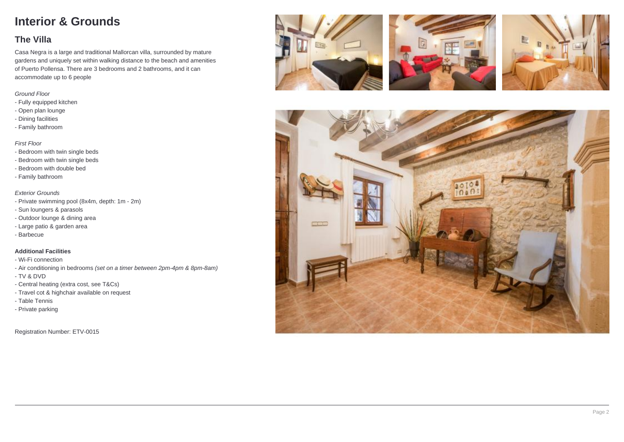## **Interior & Grounds**

### **The Villa**

Casa Negra is a large and traditional Mallorcan villa, surrounded by mature gardens and uniquely set within walking distance to the beach and amenities of Puerto Pollensa. There are 3 bedrooms and 2 bathrooms, and it can accommodate up to 6 people

#### Ground Floor

- Fully equipped kitchen
- Open plan lounge
- Dining facilities
- Family bathroom

### First Floor

- Bedroom with twin single beds
- Bedroom with twin single beds
- Bedroom with double bed
- Family bathroom

#### Exterior Grounds

- Private swimming pool (8x4m, depth: 1m 2m)
- Sun loungers & parasols
- Outdoor lounge & dining area
- Large patio & garden area
- Barbecue

#### **Additional Facilities**

- Wi-Fi connection
- Air conditioning in bedrooms (set on a timer between 2pm-4pm & 8pm-8am)
- TV & DVD
- Central heating (extra cost, see T&Cs)
- Travel cot & highchair available on request
- Table Tennis
- Private parking

Registration Number: ETV-0015







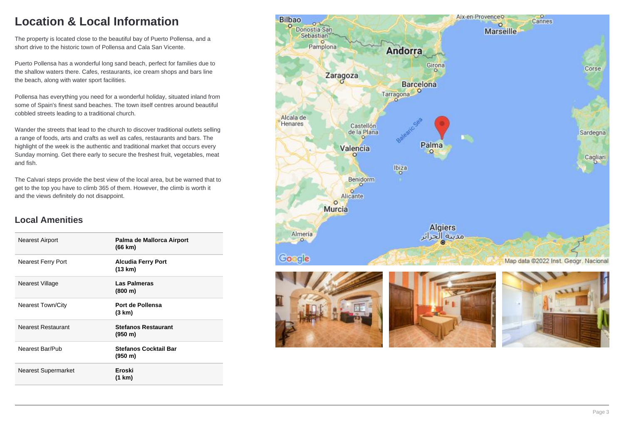## **Location & Local Information**

The property is located close to the beautiful bay of Puerto Pollensa, and a short drive to the historic town of Pollensa and Cala San Vicente.

Puerto Pollensa has a wonderful long sand beach, perfect for families due to the shallow waters there. Cafes, restaurants, ice cream shops and bars line the beach, along with water sport facilities.

Pollensa has everything you need for a wonderful holiday, situated inland from some of Spain's finest sand beaches. The town itself centres around beautiful cobbled streets leading to a traditional church.

Wander the streets that lead to the church to discover traditional outlets selling a range of foods, arts and crafts as well as cafes, restaurants and bars. The highlight of the week is the authentic and traditional market that occurs every Sunday morning. Get there early to secure the freshest fruit, vegetables, meat and fish.

The Calvari steps provide the best view of the local area, but be warned that to get to the top you have to climb 365 of them. However, the climb is worth it and the views definitely do not disappoint.

### **Local Amenities**

| Nearest Airport            | Palma de Mallorca Airport<br>(66 km)    |
|----------------------------|-----------------------------------------|
| <b>Nearest Ferry Port</b>  | <b>Alcudia Ferry Port</b><br>(13 km)    |
| Nearest Village            | Las Palmeras<br>(800 m)                 |
| <b>Nearest Town/City</b>   | Port de Pollensa<br>(3 km)              |
| Nearest Restaurant         | <b>Stefanos Restaurant</b><br>(950 m)   |
| Nearest Bar/Pub            | <b>Stefanos Cocktail Bar</b><br>(950 m) |
| <b>Nearest Supermarket</b> | Eroski<br>(1 km)                        |

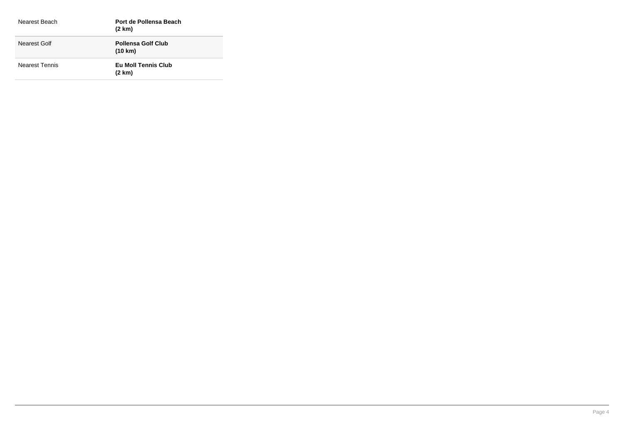| Nearest Beach         | Port de Pollensa Beach<br>$(2 \text{ km})$ |
|-----------------------|--------------------------------------------|
| Nearest Golf          | <b>Pollensa Golf Club</b><br>(10 km)       |
| <b>Nearest Tennis</b> | Eu Moll Tennis Club<br>$(2 \text{ km})$    |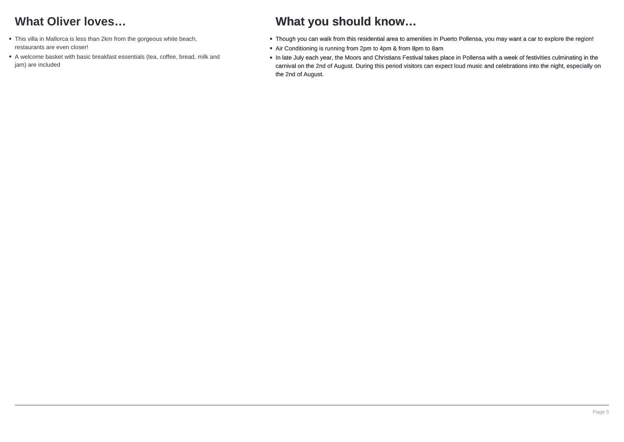## **What Oliver loves…**

- This villa in Mallorca is less than 2km from the gorgeous white beach, restaurants are even closer!
- A welcome basket with basic breakfast essentials (tea, coffee, bread, milk and jam) are included

## **What you should know…**

- Though you can walk from this residential area to amenities in Puerto Pollensa, you may want a car to explore the region!
- Air Conditioning is running from 2pm to 4pm & from 8pm to 8am
- In late July each year, the Moors and Christians Festival takes place in Pollensa with a week of festivities culminating in the carnival on the 2nd of August. During this period visitors can expect loud music and celebrations into the night, especially on the 2nd of August.